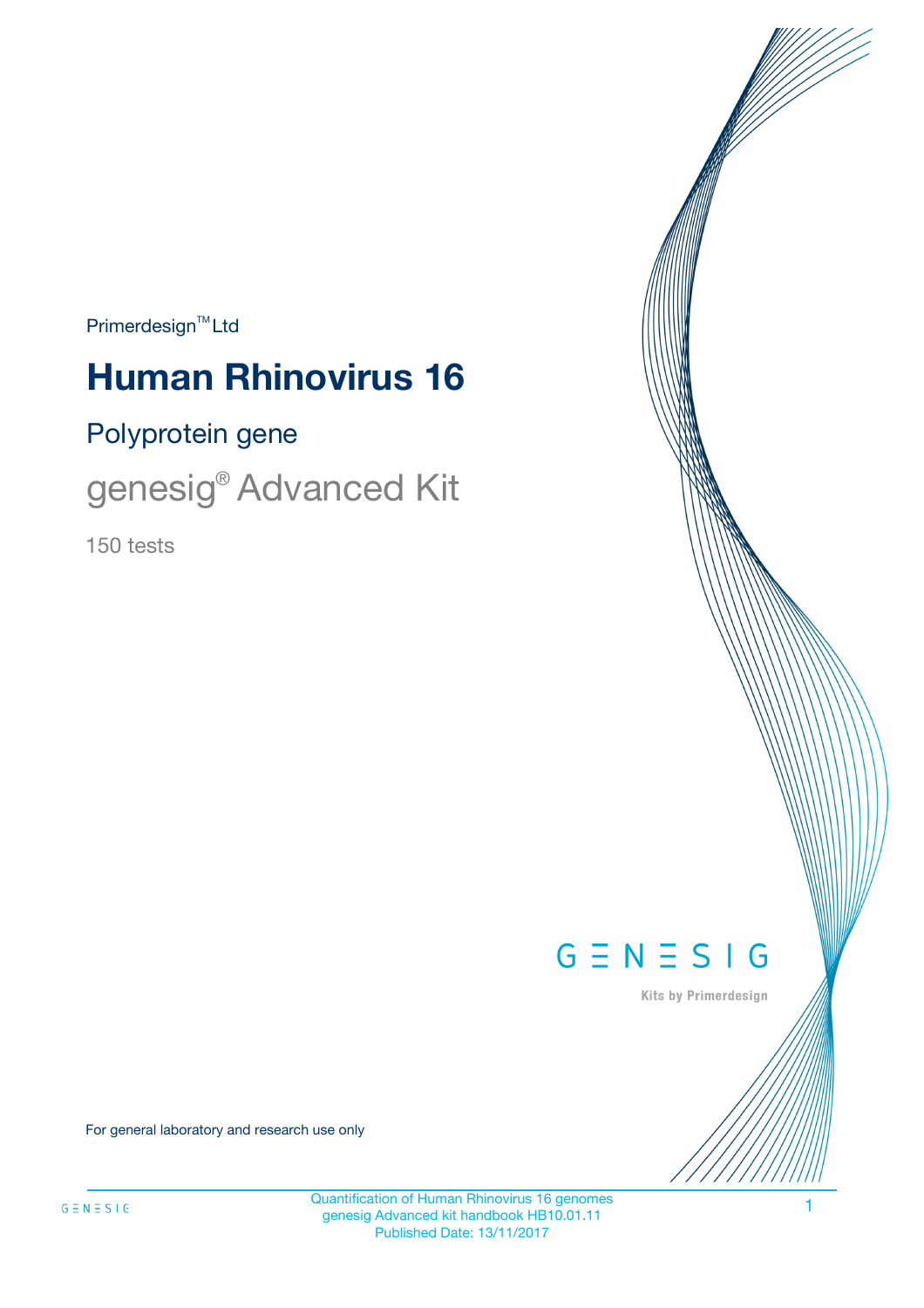$Primerdesign^{\text{TM}}Ltd$ 

# **Human Rhinovirus 16**

# Polyprotein gene

genesig® Advanced Kit

150 tests



Kits by Primerdesign

For general laboratory and research use only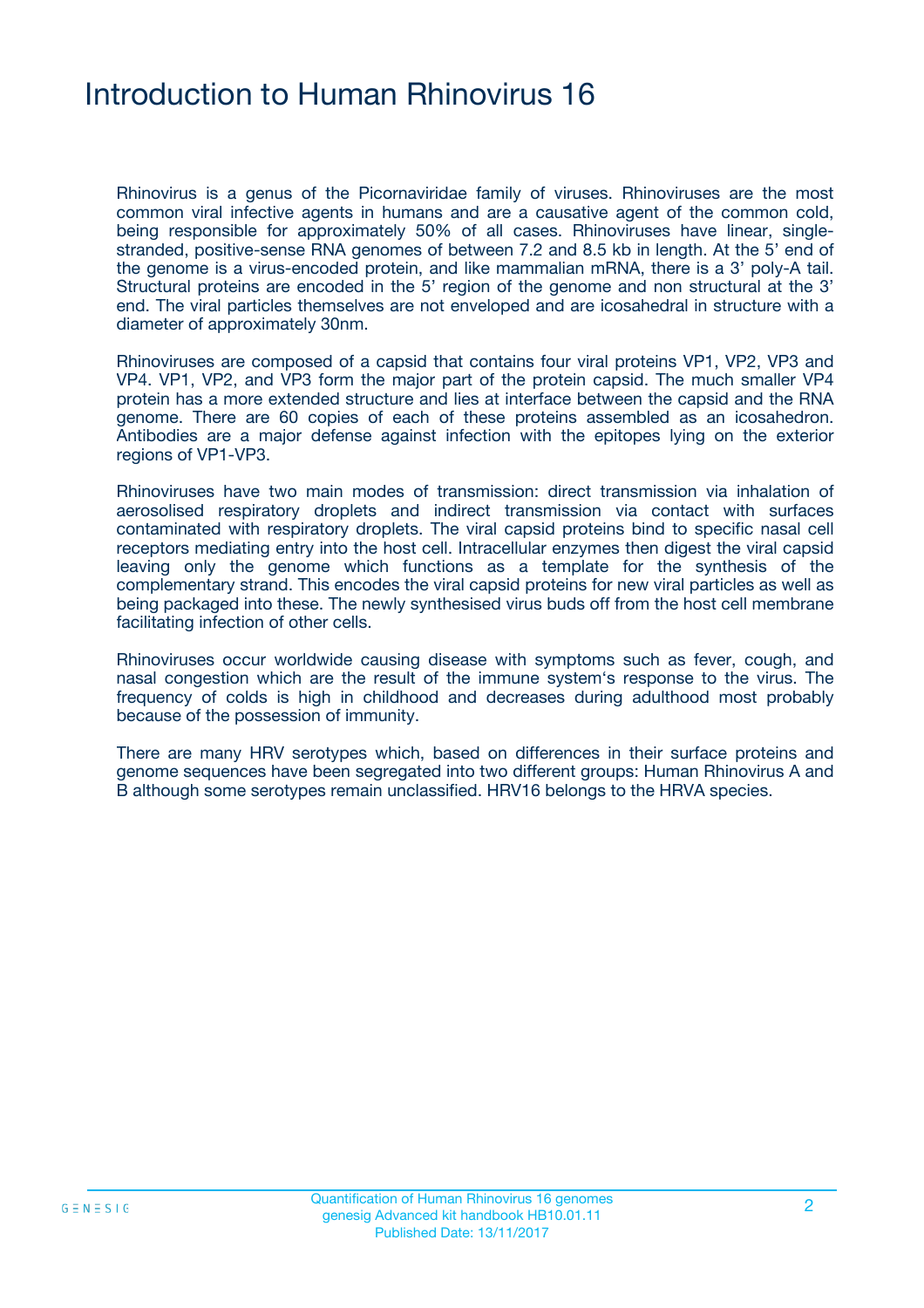# Introduction to Human Rhinovirus 16

Rhinovirus is a genus of the Picornaviridae family of viruses. Rhinoviruses are the most common viral infective agents in humans and are a causative agent of the common cold, being responsible for approximately 50% of all cases. Rhinoviruses have linear, singlestranded, positive-sense RNA genomes of between 7.2 and 8.5 kb in length. At the 5' end of the genome is a virus-encoded protein, and like mammalian mRNA, there is a 3' poly-A tail. Structural proteins are encoded in the 5' region of the genome and non structural at the 3' end. The viral particles themselves are not enveloped and are icosahedral in structure with a diameter of approximately 30nm.

Rhinoviruses are composed of a capsid that contains four viral proteins VP1, VP2, VP3 and VP4. VP1, VP2, and VP3 form the major part of the protein capsid. The much smaller VP4 protein has a more extended structure and lies at interface between the capsid and the RNA genome. There are 60 copies of each of these proteins assembled as an icosahedron. Antibodies are a major defense against infection with the epitopes lying on the exterior regions of VP1-VP3.

Rhinoviruses have two main modes of transmission: direct transmission via inhalation of aerosolised respiratory droplets and indirect transmission via contact with surfaces contaminated with respiratory droplets. The viral capsid proteins bind to specific nasal cell receptors mediating entry into the host cell. Intracellular enzymes then digest the viral capsid leaving only the genome which functions as a template for the synthesis of the complementary strand. This encodes the viral capsid proteins for new viral particles as well as being packaged into these. The newly synthesised virus buds off from the host cell membrane facilitating infection of other cells.

Rhinoviruses occur worldwide causing disease with symptoms such as fever, cough, and nasal congestion which are the result of the immune system's response to the virus. The frequency of colds is high in childhood and decreases during adulthood most probably because of the possession of immunity.

There are many HRV serotypes which, based on differences in their surface proteins and genome sequences have been segregated into two different groups: Human Rhinovirus A and B although some serotypes remain unclassified. HRV16 belongs to the HRVA species.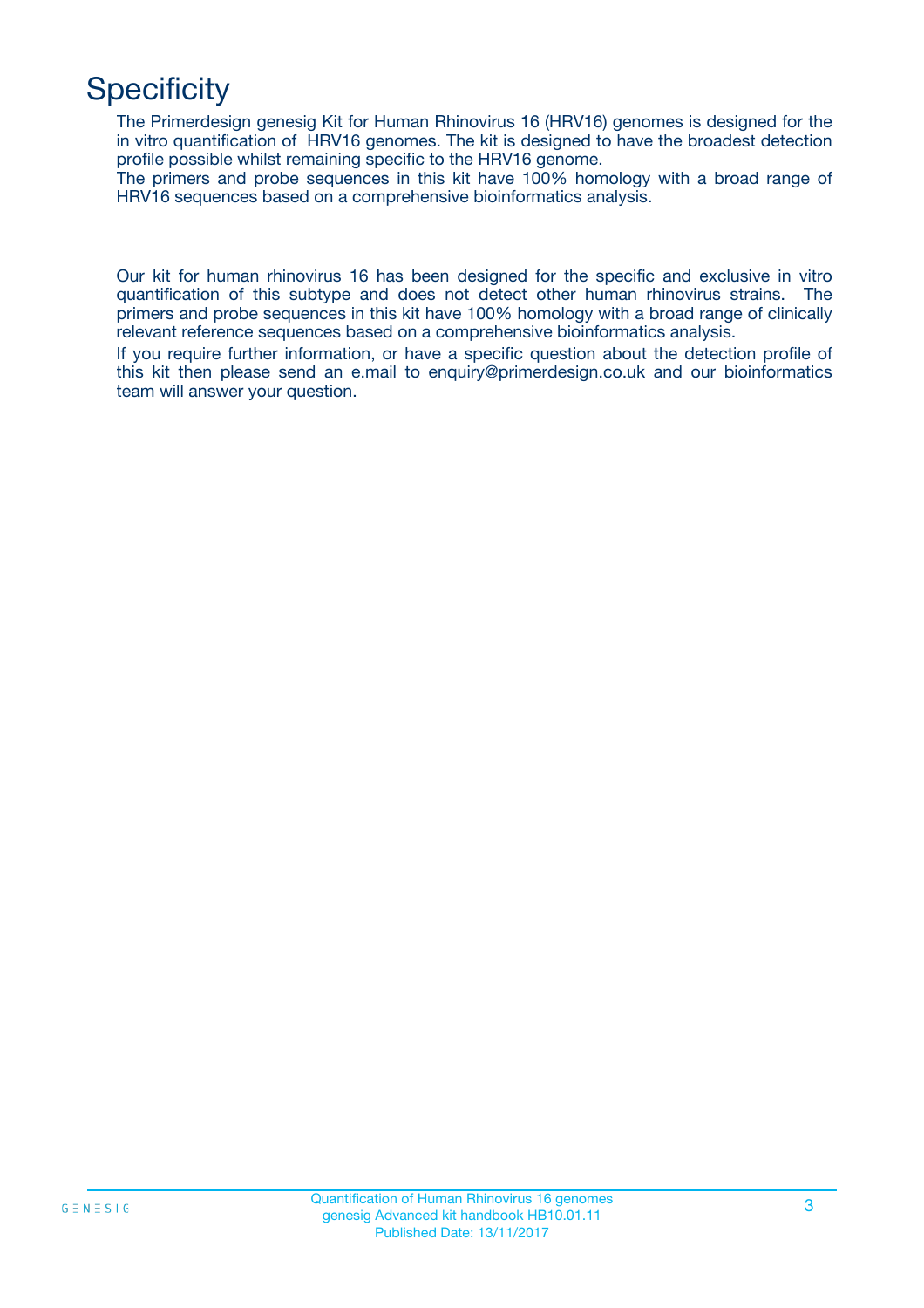# **Specificity**

The Primerdesign genesig Kit for Human Rhinovirus 16 (HRV16) genomes is designed for the in vitro quantification of HRV16 genomes. The kit is designed to have the broadest detection profile possible whilst remaining specific to the HRV16 genome.

The primers and probe sequences in this kit have 100% homology with a broad range of HRV16 sequences based on a comprehensive bioinformatics analysis.

Our kit for human rhinovirus 16 has been designed for the specific and exclusive in vitro quantification of this subtype and does not detect other human rhinovirus strains. The primers and probe sequences in this kit have 100% homology with a broad range of clinically relevant reference sequences based on a comprehensive bioinformatics analysis.

If you require further information, or have a specific question about the detection profile of this kit then please send an e.mail to enquiry@primerdesign.co.uk and our bioinformatics team will answer your question.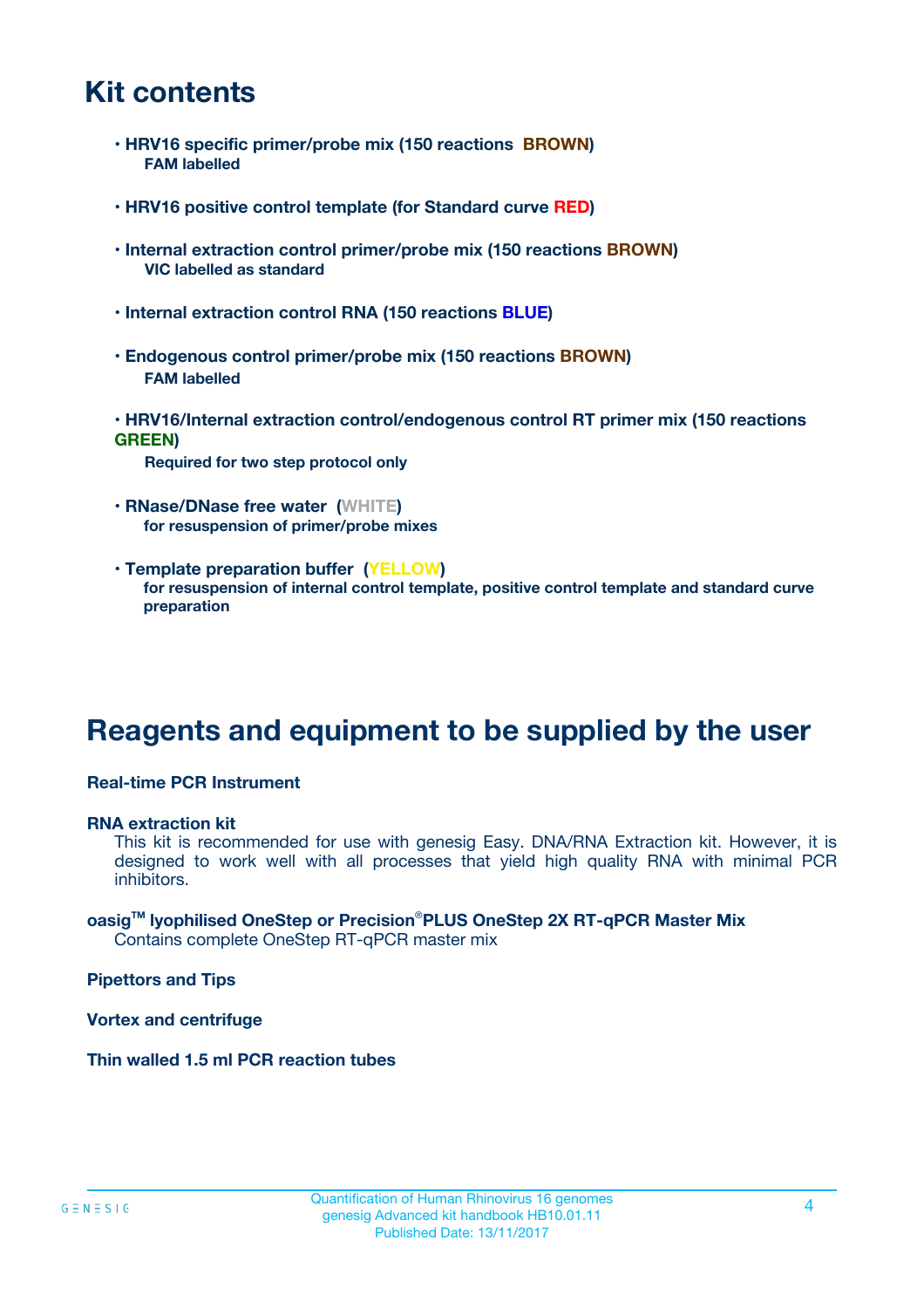# **Kit contents**

- **HRV16 specific primer/probe mix (150 reactions BROWN) FAM labelled**
- **HRV16 positive control template (for Standard curve RED)**
- **Internal extraction control primer/probe mix (150 reactions BROWN) VIC labelled as standard**
- **Internal extraction control RNA (150 reactions BLUE)**
- **Endogenous control primer/probe mix (150 reactions BROWN) FAM labelled**
- **HRV16/Internal extraction control/endogenous control RT primer mix (150 reactions GREEN)**

**Required for two step protocol only**

- **RNase/DNase free water (WHITE) for resuspension of primer/probe mixes**
- **Template preparation buffer (YELLOW) for resuspension of internal control template, positive control template and standard curve preparation**

# **Reagents and equipment to be supplied by the user**

#### **Real-time PCR Instrument**

#### **RNA extraction kit**

This kit is recommended for use with genesig Easy. DNA/RNA Extraction kit. However, it is designed to work well with all processes that yield high quality RNA with minimal PCR inhibitors.

#### **oasigTM lyophilised OneStep or Precision**®**PLUS OneStep 2X RT-qPCR Master Mix** Contains complete OneStep RT-qPCR master mix

**Pipettors and Tips**

**Vortex and centrifuge**

**Thin walled 1.5 ml PCR reaction tubes**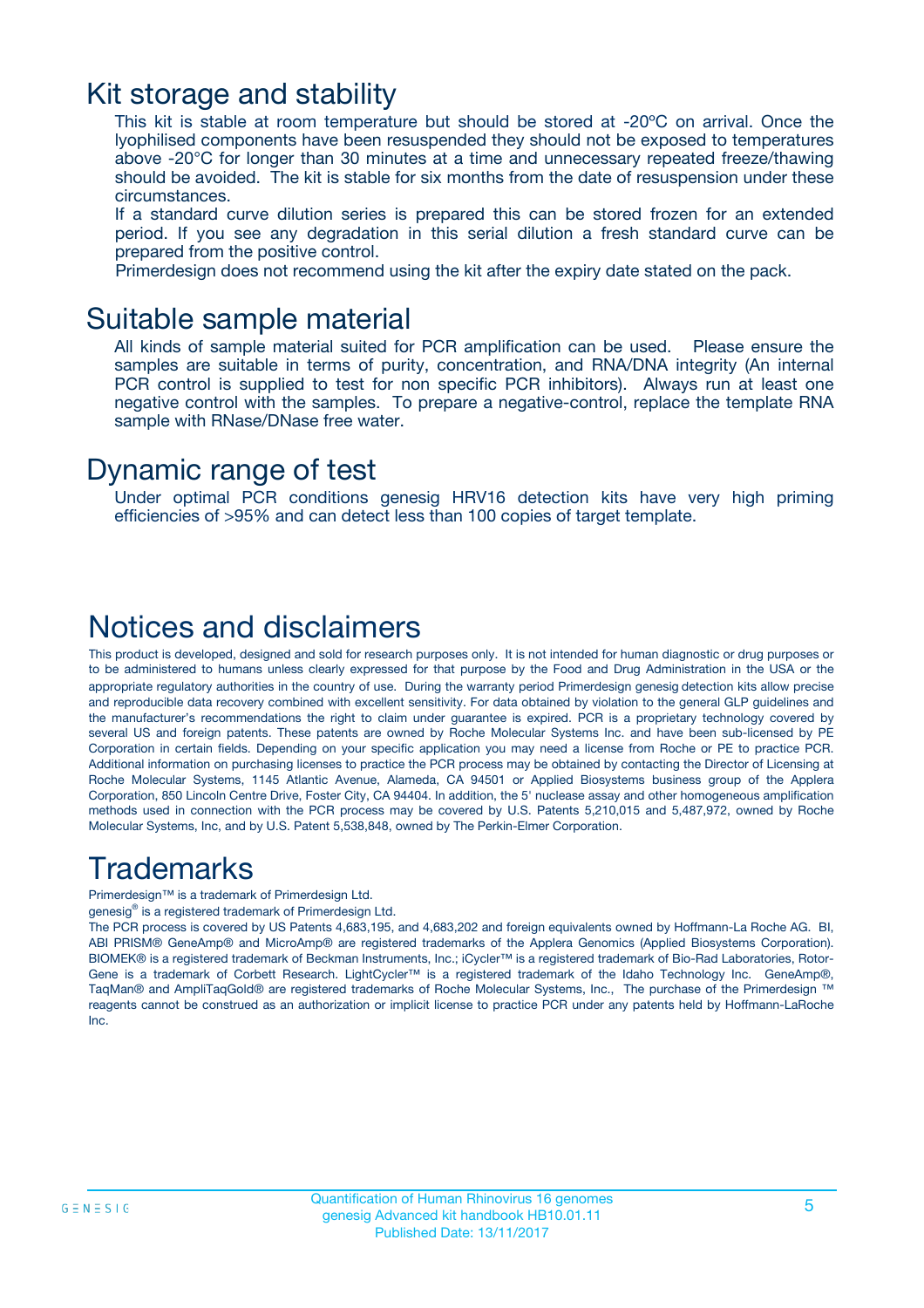### Kit storage and stability

This kit is stable at room temperature but should be stored at -20ºC on arrival. Once the lyophilised components have been resuspended they should not be exposed to temperatures above -20°C for longer than 30 minutes at a time and unnecessary repeated freeze/thawing should be avoided. The kit is stable for six months from the date of resuspension under these circumstances.

If a standard curve dilution series is prepared this can be stored frozen for an extended period. If you see any degradation in this serial dilution a fresh standard curve can be prepared from the positive control.

Primerdesign does not recommend using the kit after the expiry date stated on the pack.

### Suitable sample material

All kinds of sample material suited for PCR amplification can be used. Please ensure the samples are suitable in terms of purity, concentration, and RNA/DNA integrity (An internal PCR control is supplied to test for non specific PCR inhibitors). Always run at least one negative control with the samples. To prepare a negative-control, replace the template RNA sample with RNase/DNase free water.

### Dynamic range of test

Under optimal PCR conditions genesig HRV16 detection kits have very high priming efficiencies of >95% and can detect less than 100 copies of target template.

### Notices and disclaimers

This product is developed, designed and sold for research purposes only. It is not intended for human diagnostic or drug purposes or to be administered to humans unless clearly expressed for that purpose by the Food and Drug Administration in the USA or the appropriate regulatory authorities in the country of use. During the warranty period Primerdesign genesig detection kits allow precise and reproducible data recovery combined with excellent sensitivity. For data obtained by violation to the general GLP guidelines and the manufacturer's recommendations the right to claim under guarantee is expired. PCR is a proprietary technology covered by several US and foreign patents. These patents are owned by Roche Molecular Systems Inc. and have been sub-licensed by PE Corporation in certain fields. Depending on your specific application you may need a license from Roche or PE to practice PCR. Additional information on purchasing licenses to practice the PCR process may be obtained by contacting the Director of Licensing at Roche Molecular Systems, 1145 Atlantic Avenue, Alameda, CA 94501 or Applied Biosystems business group of the Applera Corporation, 850 Lincoln Centre Drive, Foster City, CA 94404. In addition, the 5' nuclease assay and other homogeneous amplification methods used in connection with the PCR process may be covered by U.S. Patents 5,210,015 and 5,487,972, owned by Roche Molecular Systems, Inc, and by U.S. Patent 5,538,848, owned by The Perkin-Elmer Corporation.

# Trademarks

Primerdesign™ is a trademark of Primerdesign Ltd.

genesig® is a registered trademark of Primerdesign Ltd.

The PCR process is covered by US Patents 4,683,195, and 4,683,202 and foreign equivalents owned by Hoffmann-La Roche AG. BI, ABI PRISM® GeneAmp® and MicroAmp® are registered trademarks of the Applera Genomics (Applied Biosystems Corporation). BIOMEK® is a registered trademark of Beckman Instruments, Inc.; iCycler™ is a registered trademark of Bio-Rad Laboratories, Rotor-Gene is a trademark of Corbett Research. LightCycler™ is a registered trademark of the Idaho Technology Inc. GeneAmp®, TaqMan® and AmpliTaqGold® are registered trademarks of Roche Molecular Systems, Inc., The purchase of the Primerdesign ™ reagents cannot be construed as an authorization or implicit license to practice PCR under any patents held by Hoffmann-LaRoche Inc.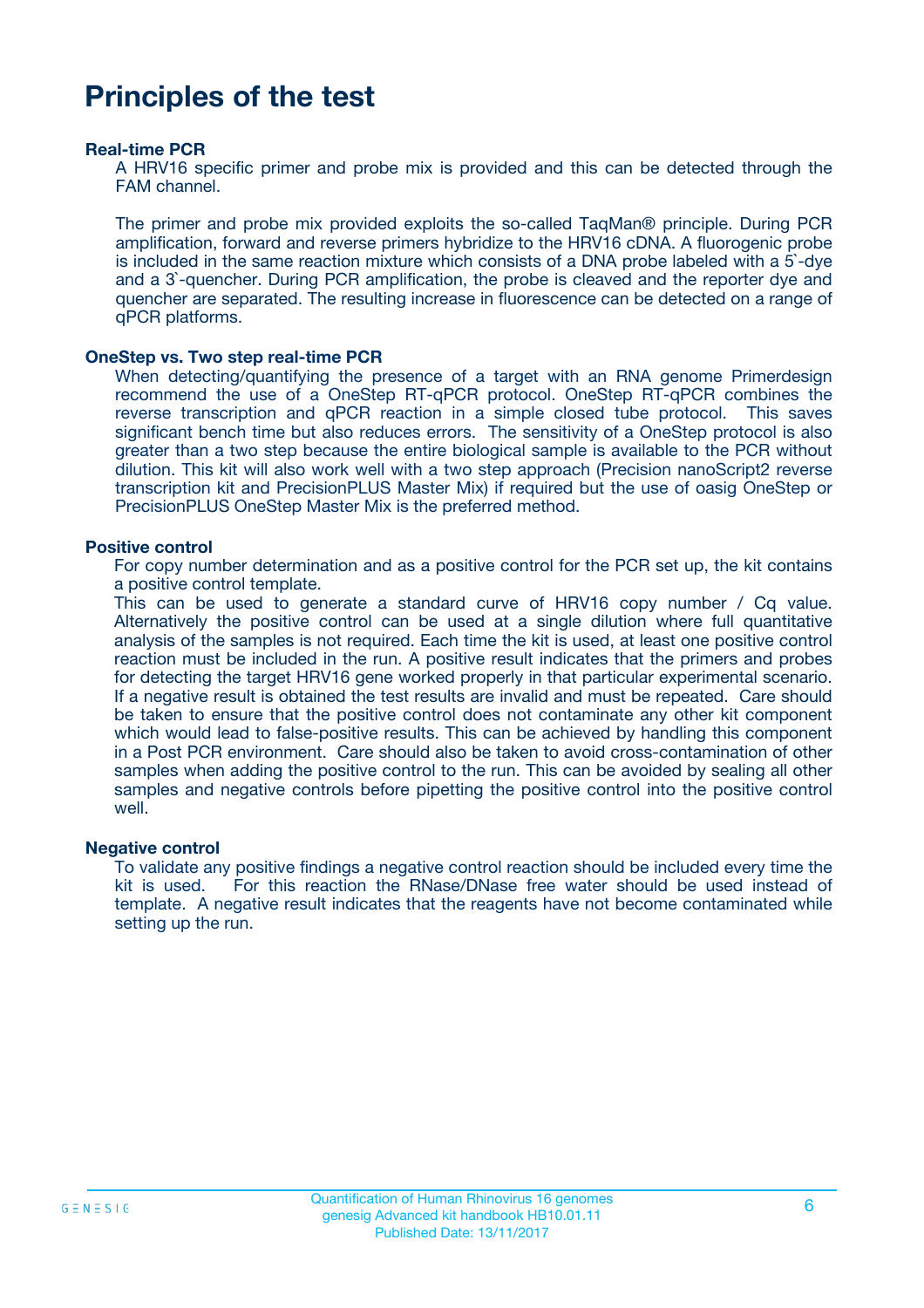# **Principles of the test**

#### **Real-time PCR**

A HRV16 specific primer and probe mix is provided and this can be detected through the FAM channel.

The primer and probe mix provided exploits the so-called TaqMan® principle. During PCR amplification, forward and reverse primers hybridize to the HRV16 cDNA. A fluorogenic probe is included in the same reaction mixture which consists of a DNA probe labeled with a 5`-dye and a 3`-quencher. During PCR amplification, the probe is cleaved and the reporter dye and quencher are separated. The resulting increase in fluorescence can be detected on a range of qPCR platforms.

#### **OneStep vs. Two step real-time PCR**

When detecting/quantifying the presence of a target with an RNA genome Primerdesign recommend the use of a OneStep RT-qPCR protocol. OneStep RT-qPCR combines the reverse transcription and qPCR reaction in a simple closed tube protocol. This saves significant bench time but also reduces errors. The sensitivity of a OneStep protocol is also greater than a two step because the entire biological sample is available to the PCR without dilution. This kit will also work well with a two step approach (Precision nanoScript2 reverse transcription kit and PrecisionPLUS Master Mix) if required but the use of oasig OneStep or PrecisionPLUS OneStep Master Mix is the preferred method.

#### **Positive control**

For copy number determination and as a positive control for the PCR set up, the kit contains a positive control template.

This can be used to generate a standard curve of HRV16 copy number / Cq value. Alternatively the positive control can be used at a single dilution where full quantitative analysis of the samples is not required. Each time the kit is used, at least one positive control reaction must be included in the run. A positive result indicates that the primers and probes for detecting the target HRV16 gene worked properly in that particular experimental scenario. If a negative result is obtained the test results are invalid and must be repeated. Care should be taken to ensure that the positive control does not contaminate any other kit component which would lead to false-positive results. This can be achieved by handling this component in a Post PCR environment. Care should also be taken to avoid cross-contamination of other samples when adding the positive control to the run. This can be avoided by sealing all other samples and negative controls before pipetting the positive control into the positive control well.

#### **Negative control**

To validate any positive findings a negative control reaction should be included every time the kit is used. For this reaction the RNase/DNase free water should be used instead of template. A negative result indicates that the reagents have not become contaminated while setting up the run.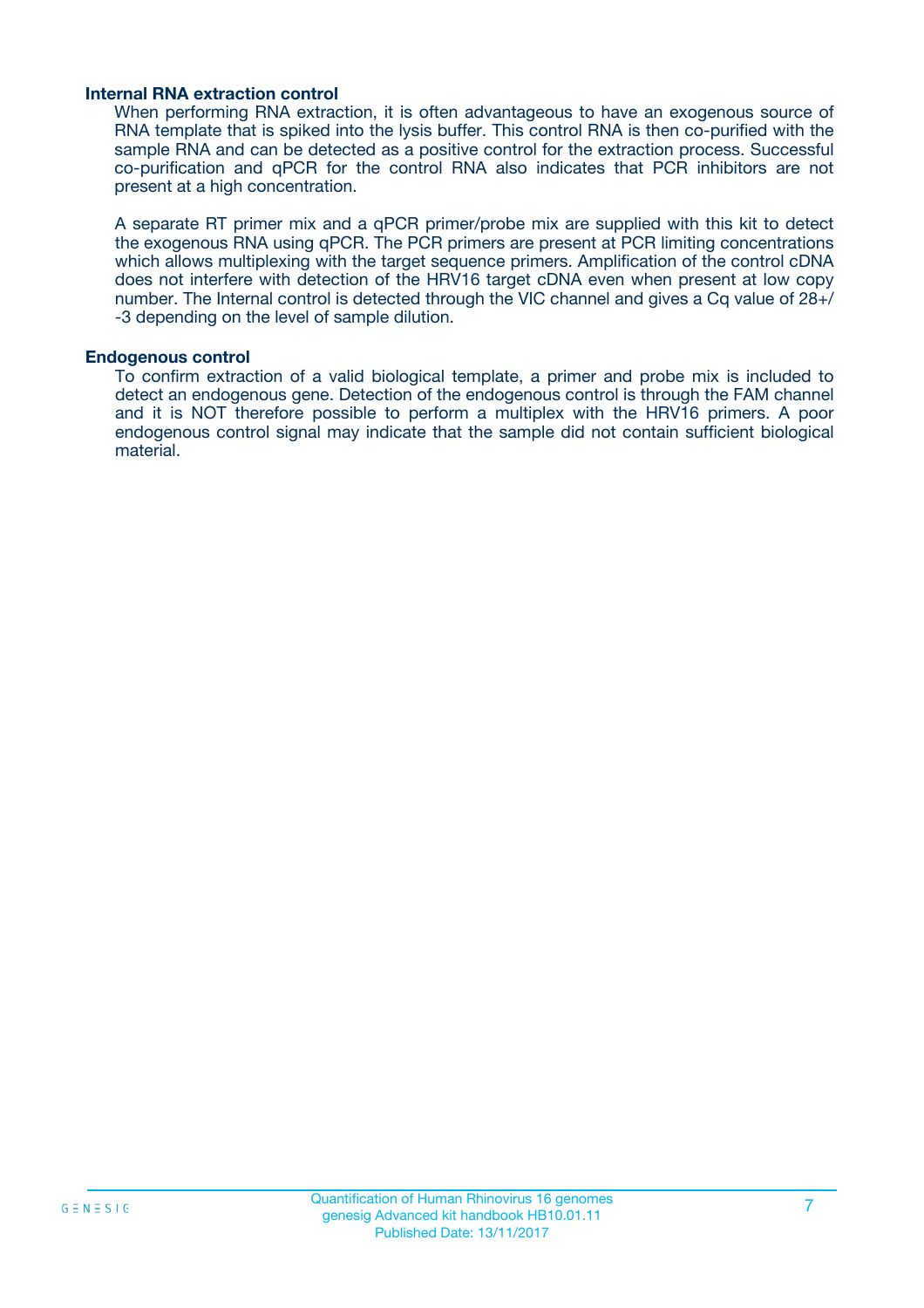#### **Internal RNA extraction control**

When performing RNA extraction, it is often advantageous to have an exogenous source of RNA template that is spiked into the lysis buffer. This control RNA is then co-purified with the sample RNA and can be detected as a positive control for the extraction process. Successful co-purification and qPCR for the control RNA also indicates that PCR inhibitors are not present at a high concentration.

A separate RT primer mix and a qPCR primer/probe mix are supplied with this kit to detect the exogenous RNA using qPCR. The PCR primers are present at PCR limiting concentrations which allows multiplexing with the target sequence primers. Amplification of the control cDNA does not interfere with detection of the HRV16 target cDNA even when present at low copy number. The Internal control is detected through the VIC channel and gives a Cq value of 28+/ -3 depending on the level of sample dilution.

#### **Endogenous control**

To confirm extraction of a valid biological template, a primer and probe mix is included to detect an endogenous gene. Detection of the endogenous control is through the FAM channel and it is NOT therefore possible to perform a multiplex with the HRV16 primers. A poor endogenous control signal may indicate that the sample did not contain sufficient biological material.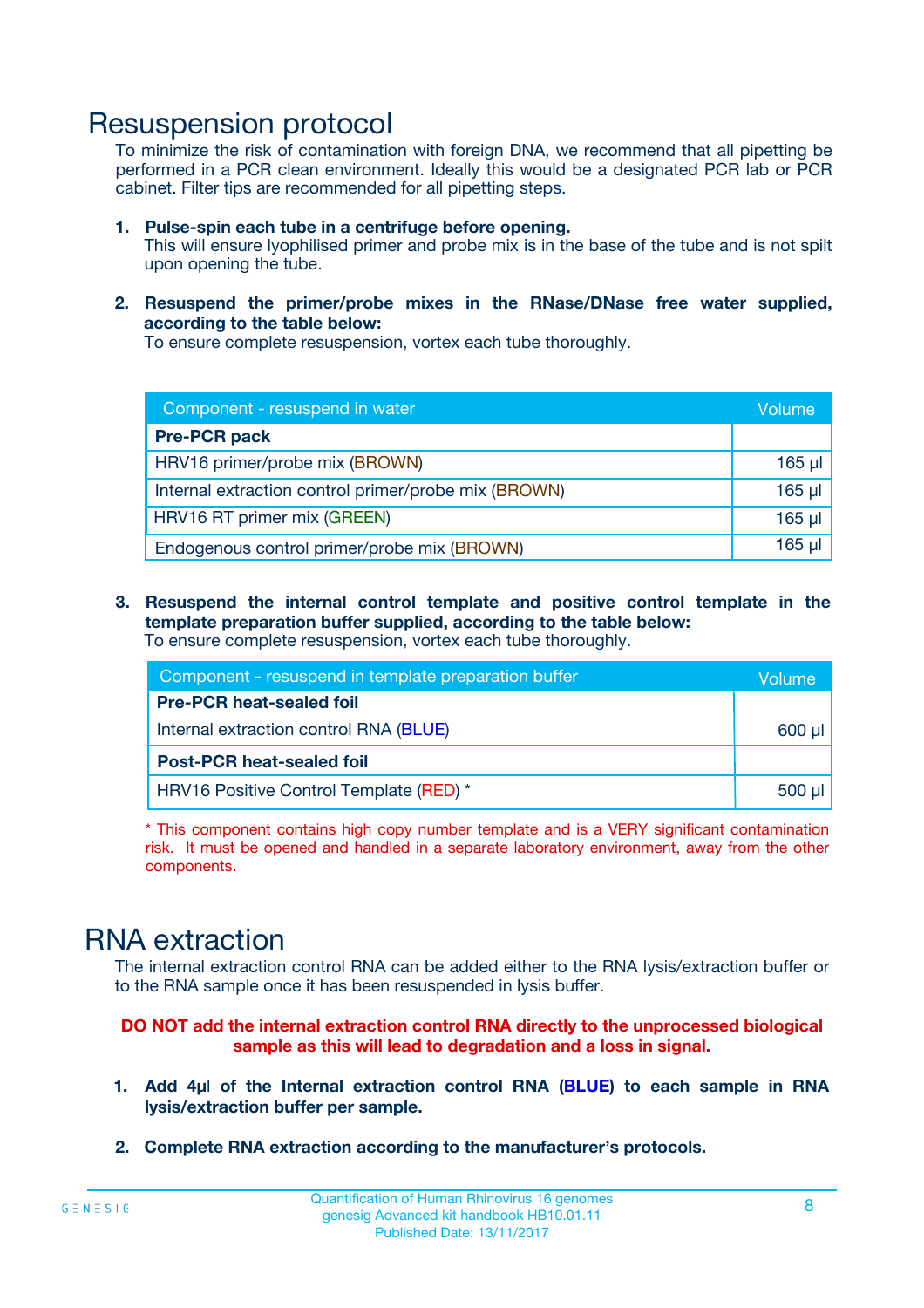### Resuspension protocol

To minimize the risk of contamination with foreign DNA, we recommend that all pipetting be performed in a PCR clean environment. Ideally this would be a designated PCR lab or PCR cabinet. Filter tips are recommended for all pipetting steps.

- **1. Pulse-spin each tube in a centrifuge before opening.** This will ensure lyophilised primer and probe mix is in the base of the tube and is not spilt upon opening the tube.
- **2. Resuspend the primer/probe mixes in the RNase/DNase free water supplied, according to the table below:**

To ensure complete resuspension, vortex each tube thoroughly.

| Component - resuspend in water                       | <b>Volume</b> |
|------------------------------------------------------|---------------|
| <b>Pre-PCR pack</b>                                  |               |
| HRV16 primer/probe mix (BROWN)                       | $165$ µ       |
| Internal extraction control primer/probe mix (BROWN) | $165$ $\mu$   |
| HRV16 RT primer mix (GREEN)                          | $165$ $\mu$   |
| Endogenous control primer/probe mix (BROWN)          | 165 µl        |

**3. Resuspend the internal control template and positive control template in the template preparation buffer supplied, according to the table below:** To ensure complete resuspension, vortex each tube thoroughly.

| Component - resuspend in template preparation buffer |             |  |
|------------------------------------------------------|-------------|--|
| <b>Pre-PCR heat-sealed foil</b>                      |             |  |
| Internal extraction control RNA (BLUE)               | 600 µl      |  |
| <b>Post-PCR heat-sealed foil</b>                     |             |  |
| HRV16 Positive Control Template (RED) *              | $500$ $\mu$ |  |

\* This component contains high copy number template and is a VERY significant contamination risk. It must be opened and handled in a separate laboratory environment, away from the other components.

# RNA extraction

The internal extraction control RNA can be added either to the RNA lysis/extraction buffer or to the RNA sample once it has been resuspended in lysis buffer.

**DO NOT add the internal extraction control RNA directly to the unprocessed biological sample as this will lead to degradation and a loss in signal.**

- **1. Add 4µ**l **of the Internal extraction control RNA (BLUE) to each sample in RNA lysis/extraction buffer per sample.**
- **2. Complete RNA extraction according to the manufacturer's protocols.**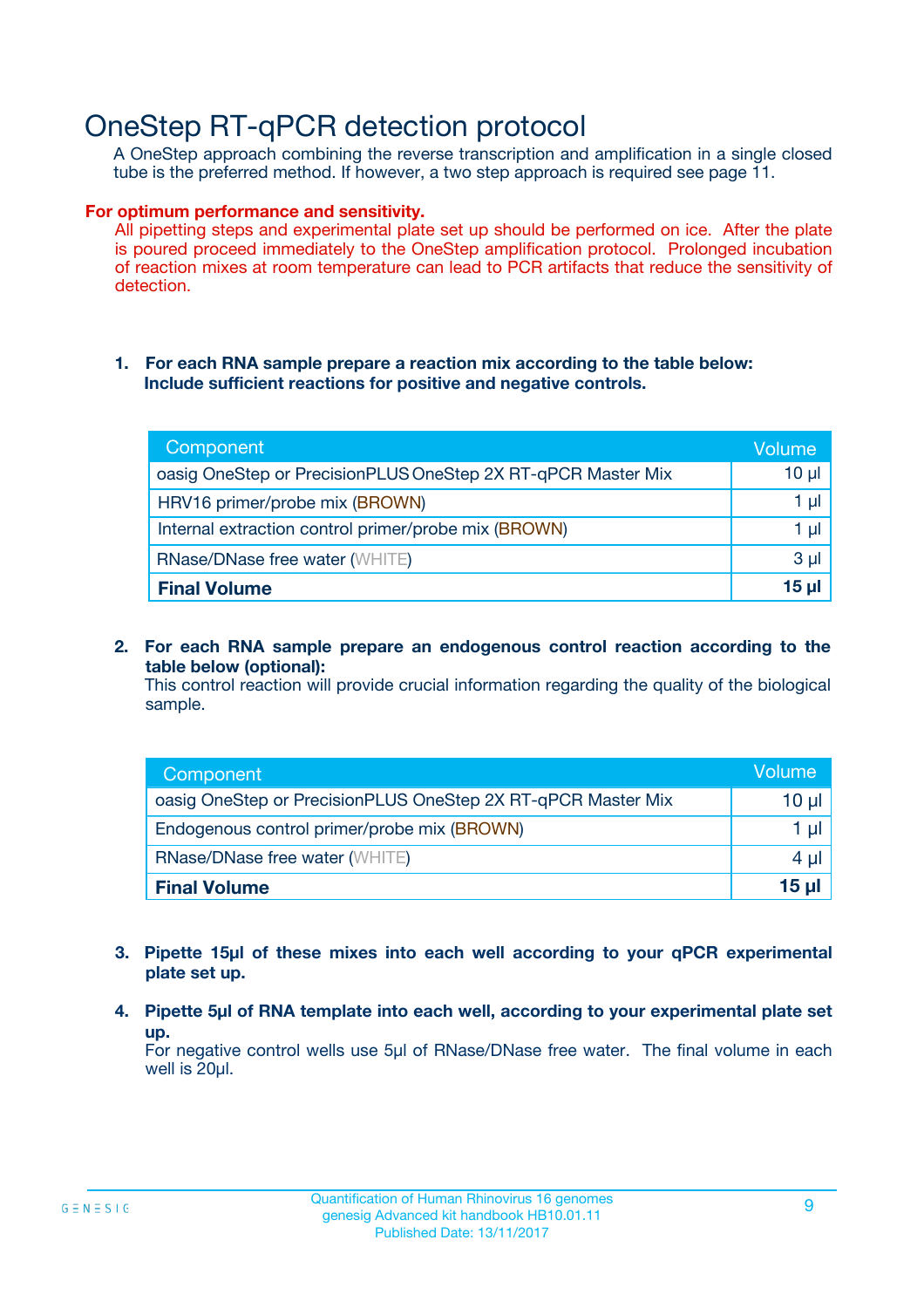# OneStep RT-qPCR detection protocol

A OneStep approach combining the reverse transcription and amplification in a single closed tube is the preferred method. If however, a two step approach is required see page 11.

#### **For optimum performance and sensitivity.**

All pipetting steps and experimental plate set up should be performed on ice. After the plate is poured proceed immediately to the OneStep amplification protocol. Prolonged incubation of reaction mixes at room temperature can lead to PCR artifacts that reduce the sensitivity of detection.

#### **1. For each RNA sample prepare a reaction mix according to the table below: Include sufficient reactions for positive and negative controls.**

| Component                                                    | Volume   |
|--------------------------------------------------------------|----------|
| oasig OneStep or PrecisionPLUS OneStep 2X RT-qPCR Master Mix | $10 \mu$ |
| HRV16 primer/probe mix (BROWN)                               | 1 µl     |
| Internal extraction control primer/probe mix (BROWN)         | 1 µI     |
| <b>RNase/DNase free water (WHITE)</b>                        | $3 \mu$  |
| <b>Final Volume</b>                                          | 15 µl    |

**2. For each RNA sample prepare an endogenous control reaction according to the table below (optional):**

This control reaction will provide crucial information regarding the quality of the biological sample.

| Component                                                    | Volume   |
|--------------------------------------------------------------|----------|
| oasig OneStep or PrecisionPLUS OneStep 2X RT-qPCR Master Mix | 10 $\mu$ |
| Endogenous control primer/probe mix (BROWN)                  | 1 ul     |
| <b>RNase/DNase free water (WHITE)</b>                        | $4 \mu$  |
| <b>Final Volume</b>                                          | 15 µl    |

- **3. Pipette 15µl of these mixes into each well according to your qPCR experimental plate set up.**
- **4. Pipette 5µl of RNA template into each well, according to your experimental plate set up.**

For negative control wells use 5µl of RNase/DNase free water. The final volume in each well is 20µl.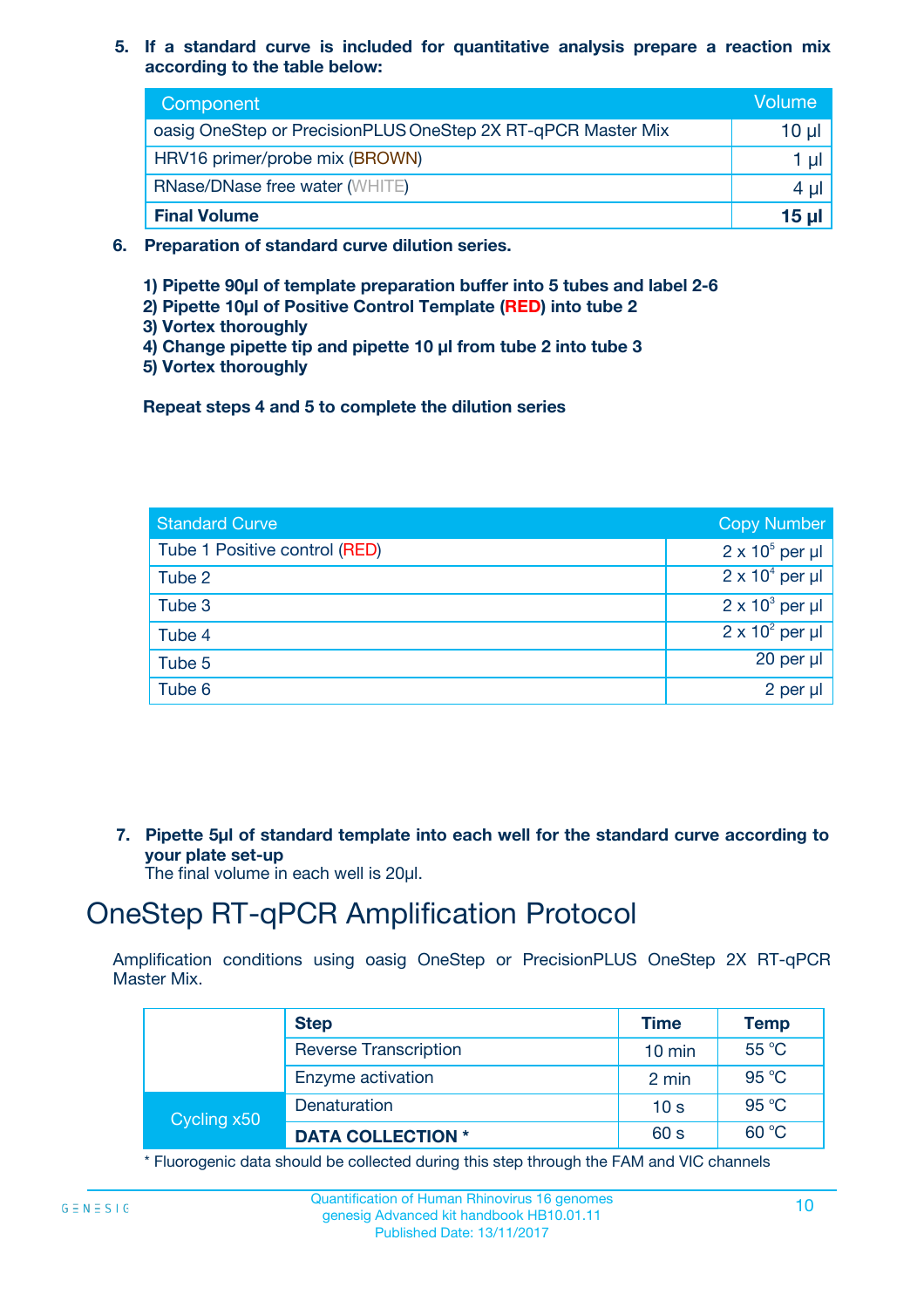**5. If a standard curve is included for quantitative analysis prepare a reaction mix according to the table below:**

| Component                                                    | Volume  |
|--------------------------------------------------------------|---------|
| oasig OneStep or PrecisionPLUS OneStep 2X RT-qPCR Master Mix | 10 µl   |
| HRV16 primer/probe mix (BROWN)                               |         |
| <b>RNase/DNase free water (WHITE)</b>                        | $4 \mu$ |
| <b>Final Volume</b>                                          | 15 µl   |

- **6. Preparation of standard curve dilution series.**
	- **1) Pipette 90µl of template preparation buffer into 5 tubes and label 2-6**
	- **2) Pipette 10µl of Positive Control Template (RED) into tube 2**
	- **3) Vortex thoroughly**
	- **4) Change pipette tip and pipette 10 µl from tube 2 into tube 3**
	- **5) Vortex thoroughly**

**Repeat steps 4 and 5 to complete the dilution series**

| <b>Standard Curve</b>         | <b>Copy Number</b>     |
|-------------------------------|------------------------|
| Tube 1 Positive control (RED) | $2 \times 10^5$ per µl |
| Tube 2                        | $2 \times 10^4$ per µl |
| Tube 3                        | $2 \times 10^3$ per µl |
| Tube 4                        | $2 \times 10^2$ per µl |
| Tube 5                        | $20$ per $\mu$         |
| Tube 6                        | $2$ per $\mu$          |

**7. Pipette 5µl of standard template into each well for the standard curve according to your plate set-up**

The final volume in each well is 20µl.

# OneStep RT-qPCR Amplification Protocol

Amplification conditions using oasig OneStep or PrecisionPLUS OneStep 2X RT-qPCR Master Mix.

|             | <b>Step</b>                  | <b>Time</b>      | <b>Temp</b>    |
|-------------|------------------------------|------------------|----------------|
|             | <b>Reverse Transcription</b> | $10 \text{ min}$ | $55^{\circ}$ C |
|             | Enzyme activation            | 2 min            | 95 °C          |
| Cycling x50 | Denaturation                 | 10 <sub>s</sub>  | 95 °C          |
|             | <b>DATA COLLECTION *</b>     | 60 s             | 60 °C          |

\* Fluorogenic data should be collected during this step through the FAM and VIC channels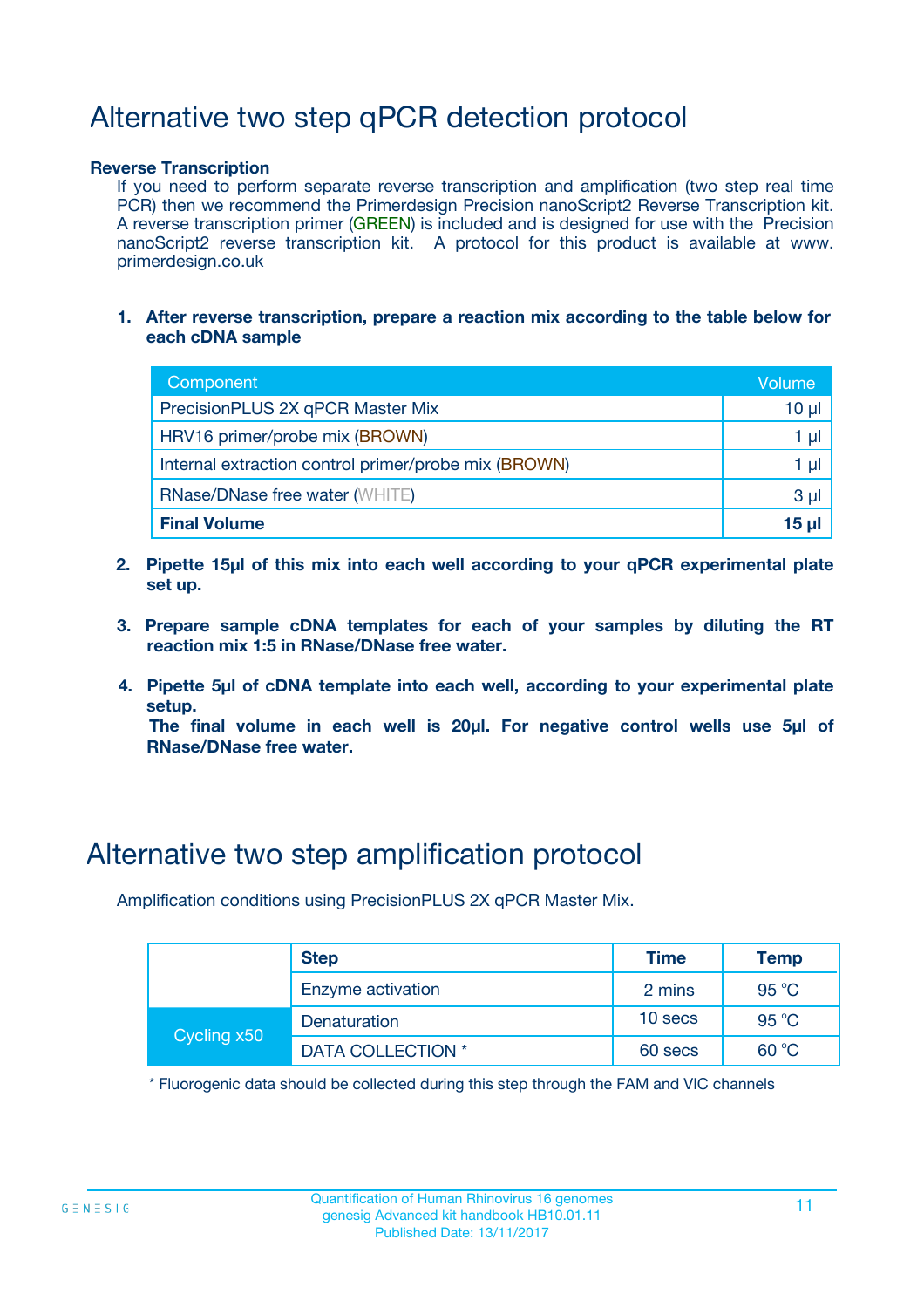# Alternative two step qPCR detection protocol

#### **Reverse Transcription**

If you need to perform separate reverse transcription and amplification (two step real time PCR) then we recommend the Primerdesign Precision nanoScript2 Reverse Transcription kit. A reverse transcription primer (GREEN) is included and is designed for use with the Precision nanoScript2 reverse transcription kit. A protocol for this product is available at www. primerdesign.co.uk

**1. After reverse transcription, prepare a reaction mix according to the table below for each cDNA sample**

| Component                                            | Volume   |
|------------------------------------------------------|----------|
| PrecisionPLUS 2X qPCR Master Mix                     | $10 \mu$ |
| HRV16 primer/probe mix (BROWN)                       | 1 µl     |
| Internal extraction control primer/probe mix (BROWN) | 1 µl     |
| <b>RNase/DNase free water (WHITE)</b>                | $3 \mu$  |
| <b>Final Volume</b>                                  | 15 ul    |

- **2. Pipette 15µl of this mix into each well according to your qPCR experimental plate set up.**
- **3. Prepare sample cDNA templates for each of your samples by diluting the RT reaction mix 1:5 in RNase/DNase free water.**
- **4. Pipette 5µl of cDNA template into each well, according to your experimental plate setup.**

**The final volume in each well is 20µl. For negative control wells use 5µl of RNase/DNase free water.**

### Alternative two step amplification protocol

Amplification conditions using PrecisionPLUS 2X qPCR Master Mix.

|             | <b>Step</b>       | <b>Time</b> | Temp  |
|-------------|-------------------|-------------|-------|
|             | Enzyme activation | 2 mins      | 95 °C |
| Cycling x50 | Denaturation      | 10 secs     | 95 °C |
|             | DATA COLLECTION * | 60 secs     | 60 °C |

\* Fluorogenic data should be collected during this step through the FAM and VIC channels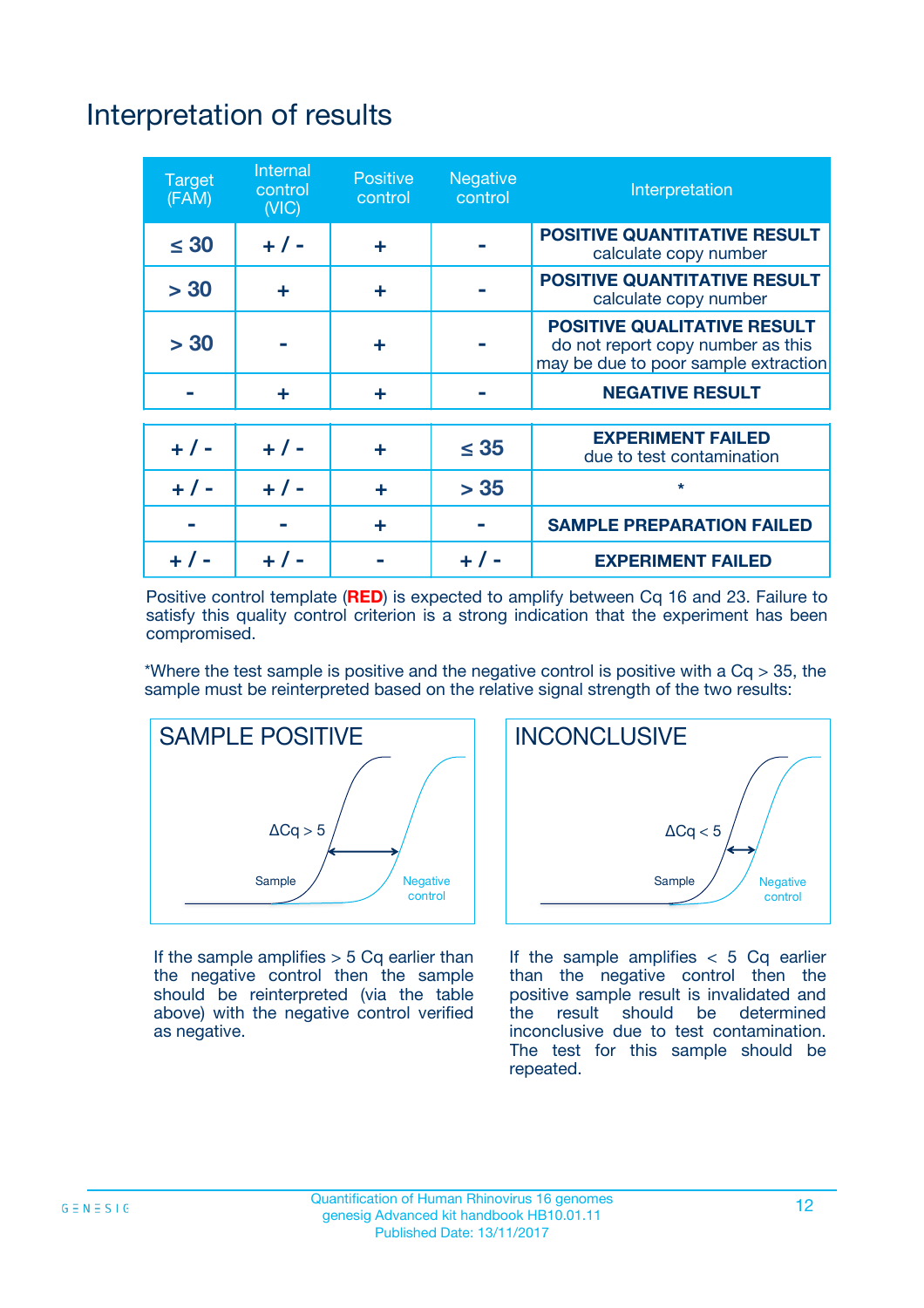# Interpretation of results

| <b>Target</b><br>(FAM) | Internal<br>control<br>(NIC) | <b>Positive</b><br>control | <b>Negative</b><br>control | Interpretation                                                                                                  |
|------------------------|------------------------------|----------------------------|----------------------------|-----------------------------------------------------------------------------------------------------------------|
| $\leq 30$              | $+ 1 -$                      | ÷                          |                            | <b>POSITIVE QUANTITATIVE RESULT</b><br>calculate copy number                                                    |
| > 30                   | ÷                            | ÷                          |                            | <b>POSITIVE QUANTITATIVE RESULT</b><br>calculate copy number                                                    |
| > 30                   |                              | ÷                          |                            | <b>POSITIVE QUALITATIVE RESULT</b><br>do not report copy number as this<br>may be due to poor sample extraction |
|                        | ÷                            | ÷                          |                            | <b>NEGATIVE RESULT</b>                                                                                          |
| $+ 1 -$                | $+ 1 -$                      | ÷                          | $\leq 35$                  | <b>EXPERIMENT FAILED</b><br>due to test contamination                                                           |
| $+ 1 -$                | $+ 1 -$                      | ÷                          | > 35                       | $\star$                                                                                                         |
|                        |                              | ÷                          |                            | <b>SAMPLE PREPARATION FAILED</b>                                                                                |
|                        |                              |                            |                            | <b>EXPERIMENT FAILED</b>                                                                                        |

Positive control template (**RED**) is expected to amplify between Cq 16 and 23. Failure to satisfy this quality control criterion is a strong indication that the experiment has been compromised.

\*Where the test sample is positive and the negative control is positive with a  $Cq > 35$ , the sample must be reinterpreted based on the relative signal strength of the two results:



If the sample amplifies  $> 5$  Cq earlier than the negative control then the sample should be reinterpreted (via the table above) with the negative control verified as negative.



If the sample amplifies  $< 5$  Cq earlier than the negative control then the positive sample result is invalidated and the result should be determined inconclusive due to test contamination. The test for this sample should be repeated.